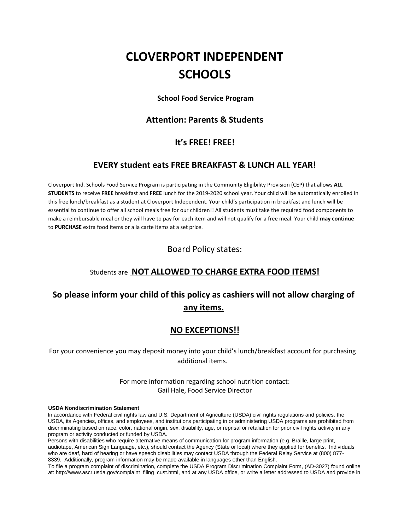# **CLOVERPORT INDEPENDENT SCHOOLS**

**School Food Service Program**

#### **Attention: Parents & Students**

### **It's FREE! FREE!**

#### **EVERY student eats FREE BREAKFAST & LUNCH ALL YEAR!**

Cloverport Ind. Schools Food Service Program is participating in the Community Eligibility Provision (CEP) that allows **ALL STUDENTS** to receive **FREE** breakfast and **FREE** lunch for the 2019-2020 school year. Your child will be automatically enrolled in this free lunch/breakfast as a student at Cloverport Independent. Your child's participation in breakfast and lunch will be essential to continue to offer all school meals free for our children!! All students must take the required food components to make a reimbursable meal or they will have to pay for each item and will not qualify for a free meal. Your child **may continue**  to **PURCHASE** extra food items or a la carte items at a set price.

#### Board Policy states:

### Students are **NOT ALLOWED TO CHARGE EXTRA FOOD ITEMS!**

## **So please inform your child of this policy as cashiers will not allow charging of any items.**

### **NO EXCEPTIONS!!**

For your convenience you may deposit money into your child's lunch/breakfast account for purchasing additional items.

> For more information regarding school nutrition contact: Gail Hale, Food Service Director

#### **USDA Nondiscrimination Statement**

In accordance with Federal civil rights law and U.S. Department of Agriculture (USDA) civil rights regulations and policies, the USDA, its Agencies, offices, and employees, and institutions participating in or administering USDA programs are prohibited from discriminating based on race, color, national origin, sex, disability, age, or reprisal or retaliation for prior civil rights activity in any program or activity conducted or funded by USDA.

Persons with disabilities who require alternative means of communication for program information (e.g. Braille, large print, audiotape, American Sign Language, etc.), should contact the Agency (State or local) where they applied for benefits. Individuals who are deaf, hard of hearing or have speech disabilities may contact USDA through the Federal Relay Service at (800) 877- 8339. Additionally, program information may be made available in languages other than English.

To file a program complaint of discrimination, complete the USDA Program Discrimination Complaint Form, (AD-3027) found online at: [http://www.ascr.usda.gov/complaint\\_filing\\_cust.html,](http://www.ascr.usda.gov/complaint_filing_cust.html) and at any USDA office, or write a letter addressed to USDA and provide in